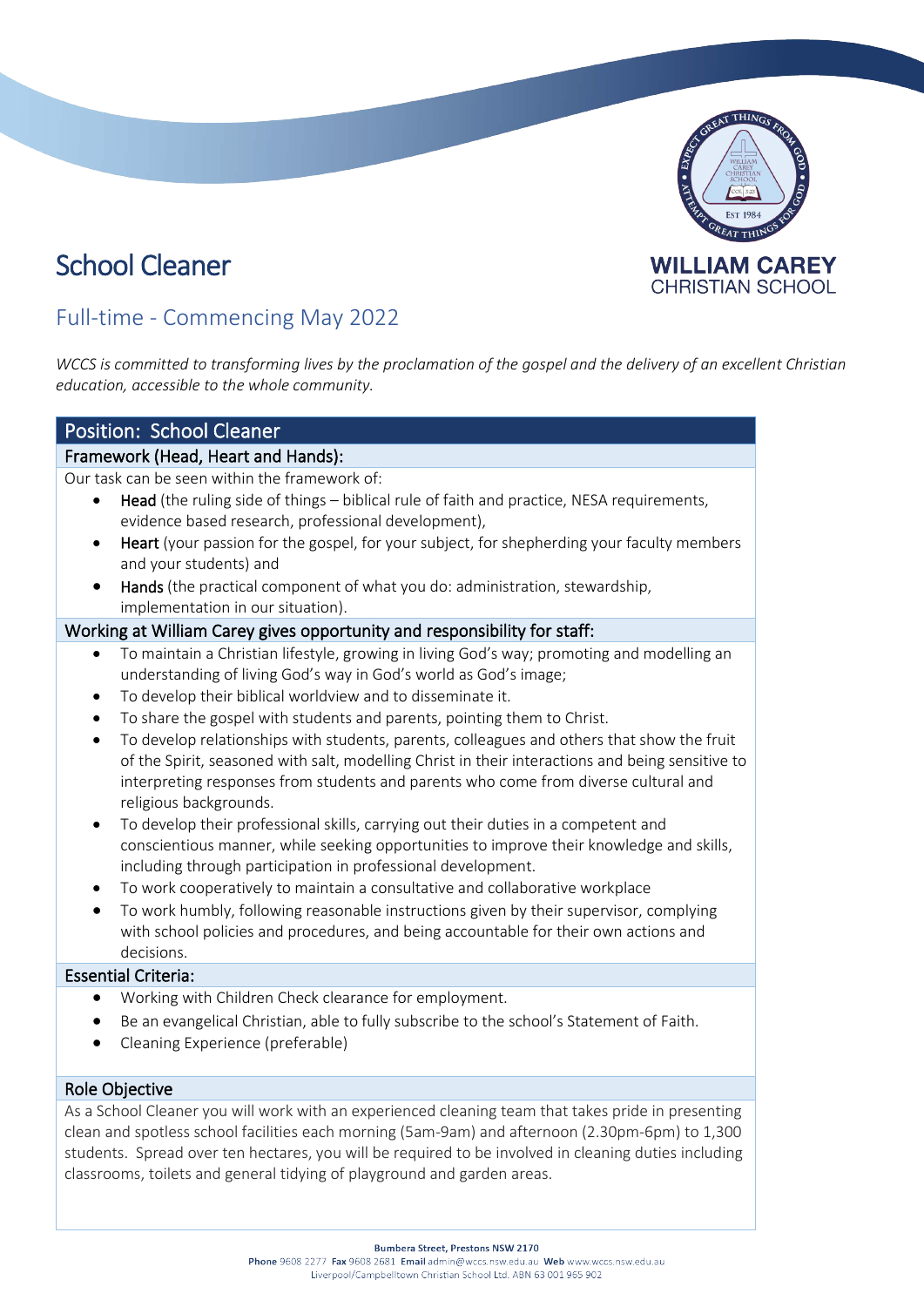# School Cleaner



# Full-time - Commencing May 2022

*WCCS is committed to transforming lives by the proclamation of the gospel and the delivery of an excellent Christian education, accessible to the whole community.*

# Position: School Cleaner

## Framework (Head, Heart and Hands):

Our task can be seen within the framework of:

- Head (the ruling side of things biblical rule of faith and practice, NESA requirements, evidence based research, professional development),
- Heart (your passion for the gospel, for your subject, for shepherding your faculty members and your students) and
- Hands (the practical component of what you do: administration, stewardship, implementation in our situation).

#### Working at William Carey gives opportunity and responsibility for staff:

- To maintain a Christian lifestyle, growing in living God's way; promoting and modelling an understanding of living God's way in God's world as God's image;
- To develop their biblical worldview and to disseminate it.
- To share the gospel with students and parents, pointing them to Christ.
- To develop relationships with students, parents, colleagues and others that show the fruit of the Spirit, seasoned with salt, modelling Christ in their interactions and being sensitive to interpreting responses from students and parents who come from diverse cultural and religious backgrounds.
- To develop their professional skills, carrying out their duties in a competent and conscientious manner, while seeking opportunities to improve their knowledge and skills, including through participation in professional development.
- To work cooperatively to maintain a consultative and collaborative workplace
- To work humbly, following reasonable instructions given by their supervisor, complying with school policies and procedures, and being accountable for their own actions and decisions.

#### Essential Criteria:

- Working with Children Check clearance for employment.
- Be an evangelical Christian, able to fully subscribe to the school's Statement of Faith.
- Cleaning Experience (preferable)

#### Role Objective

As a School Cleaner you will work with an experienced cleaning team that takes pride in presenting clean and spotless school facilities each morning (5am-9am) and afternoon (2.30pm-6pm) to 1,300 students. Spread over ten hectares, you will be required to be involved in cleaning duties including classrooms, toilets and general tidying of playground and garden areas.

**Bumbera Street, Prestons NSW 2170**